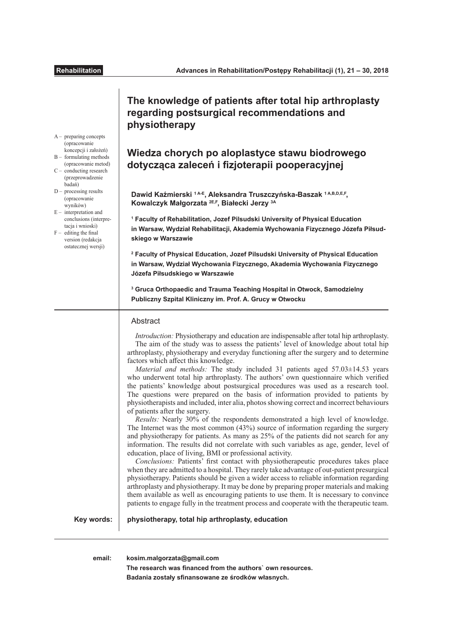A – preparing concepts (opracowanie koncepcji i założeń) B – formulating methods (opracowanie metod)  $C -$  conducting research (przeprowadzenie badań)  $D -$  processing results (opracowanie wyników)  $E -$  interpretation and conclusions (interpretacia i wnioski)  $F -$  editing the final version (redakcja ostatecznej wersji)

# **The knowledge of patients after total hip arthroplasty regarding postsurgical recommendations and physiotherapy**

# **Wiedza chorych po aloplastyce stawu biodrowego dotycząca zaleceń i fzjoterapii pooperacyjnej**

**Dawid Kaźmierski 1 A-E, Aleksandra Truszczyńska-Baszak 1 A,B,D,E,F, Kowalczyk Małgorzata 2E,F, Białecki Jerzy 3A**

**1 Faculty of Rehabilitation, Jozef Pilsudski University of Physical Education in Warsaw, Wydział Rehabilitacji, Akademia Wychowania Fizycznego Józefa Piłsudskiego w Warszawie**

**2 Faculty of Physical Education, Jozef Pilsudski University of Physical Education in Warsaw, Wydział Wychowania Fizycznego, Akademia Wychowania Fizycznego Józefa Piłsudskiego w Warszawie**

**3 Gruca Orthopaedic and Trauma Teaching Hospital in Otwock, Samodzielny Publiczny Szpital Kliniczny im. Prof. A. Grucy w Otwocku**

# **Abstract**

*Introduction:* Physiotherapy and education are indispensable after total hip arthroplasty. The aim of the study was to assess the patients' level of knowledge about total hip arthroplasty, physiotherapy and everyday functioning after the surgery and to determine factors which afect this knowledge.

*Material and methods:* The study included 31 patients aged 57.03±14.53 years who underwent total hip arthroplasty. The authors' own questionnaire which verifed the patients' knowledge about postsurgical procedures was used as a research tool. The questions were prepared on the basis of information provided to patients by physiotherapists and included, inter alia, photos showing correct and incorrect behaviours of patients after the surgery.

*Results:* Nearly 30% of the respondents demonstrated a high level of knowledge. The Internet was the most common (43%) source of information regarding the surgery and physiotherapy for patients. As many as 25% of the patients did not search for any information. The results did not correlate with such variables as age, gender, level of education, place of living, BMI or professional activity.

*Conclusions:* Patients' frst contact with physiotherapeutic procedures takes place when they are admitted to a hospital. They rarely take advantage of out-patient presurgical physiotherapy. Patients should be given a wider access to reliable information regarding arthroplasty and physiotherapy. It may be done by preparing proper materials and making them available as well as encouraging patients to use them. It is necessary to convince patients to engage fully in the treatment process and cooperate with the therapeutic team.

**Key words:**

**physiotherapy, total hip arthroplasty, education**

**email: kosim.malgorzata@gmail.com**

**The research was fnanced from the authors` own resources. Badania zostały sfnansowane ze środków własnych.**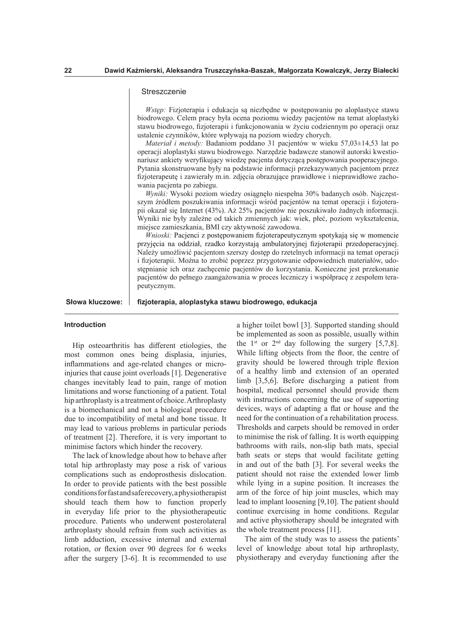## **Streszczenie**

*Wstęp:* Fizjoterapia i edukacja są niezbędne w postępowaniu po aloplastyce stawu biodrowego. Celem pracy była ocena poziomu wiedzy pacjentów na temat aloplastyki stawu biodrowego, fzjoterapii i funkcjonowania w życiu codziennym po operacji oraz ustalenie czynników, które wpływają na poziom wiedzy chorych.

*Materiał i metody:* Badaniom poddano 31 pacjentów w wieku 57,03±14,53 lat po operacji aloplastyki stawu biodrowego. Narzędzie badawcze stanowił autorski kwestionariusz ankiety weryfkujący wiedzę pacjenta dotyczącą postępowania pooperacyjnego. Pytania skonstruowane były na podstawie informacji przekazywanych pacjentom przez fzjoterapeutę i zawierały m.in. zdjęcia obrazujące prawidłowe i nieprawidłowe zachowania pacjenta po zabiegu.

*Wyniki:* Wysoki poziom wiedzy osiągnęło niespełna 30% badanych osób. Najczęstszym źródłem poszukiwania informacji wśród pacjentów na temat operacji i fizjoterapii okazał się Internet (43%). Aż 25% pacjentów nie poszukiwało żadnych informacji. Wyniki nie były zależne od takich zmiennych jak: wiek, płeć, poziom wykształcenia, miejsce zamieszkania, BMI czy aktywność zawodowa.

*Wnioski: Pacjenci z postępowaniem fizjoterapeutycznym spotykają się w momencie* przyjęcia na oddział, rzadko korzystają ambulatoryjnej fzjoterapii przedoperacyjnej. Należy umożliwić pacjentom szerszy dostęp do rzetelnych informacji na temat operacji i fzjoterapii. Można to zrobić poprzez przygotowanie odpowiednich materiałów, udostępnianie ich oraz zachęcenie pacjentów do korzystania. Konieczne jest przekonanie pacjentów do pełnego zaangażowania w proces leczniczy i współpracę z zespołem terapeutycznym.

Słowa kluczowe: | fizjoterapia, aloplastyka stawu biodrowego, edukacja

## **Introduction**

Hip osteoarthritis has diferent etiologies, the most common ones being displasia, injuries, infammations and age-related changes or microinjuries that cause joint overloads [1]. Degenerative changes inevitably lead to pain, range of motion limitations and worse functioning of a patient. Total hip arthroplasty is a treatment of choice. Arthroplasty is a biomechanical and not a biological procedure due to incompatibility of metal and bone tissue. It may lead to various problems in particular periods of treatment [2]. Therefore, it is very important to minimise factors which hinder the recovery.

The lack of knowledge about how to behave after total hip arthroplasty may pose a risk of various complications such as endoprosthesis dislocation. In order to provide patients with the best possible conditions for fast and safe recovery, a physiotherapist should teach them how to function properly in everyday life prior to the physiotherapeutic procedure. Patients who underwent posterolateral arthroplasty should refrain from such activities as limb adduction, excessive internal and external rotation, or flexion over 90 degrees for 6 weeks after the surgery [3-6]. It is recommended to use

a higher toilet bowl [3]. Supported standing should be implemented as soon as possible, usually within the  $1^{st}$  or  $2^{nd}$  day following the surgery [5,7,8]. While lifting objects from the floor, the centre of gravity should be lowered through triple fexion of a healthy limb and extension of an operated limb [3,5,6]. Before discharging a patient from hospital, medical personnel should provide them with instructions concerning the use of supporting devices, ways of adapting a fat or house and the need for the continuation of a rehabilitation process. Thresholds and carpets should be removed in order to minimise the risk of falling. It is worth equipping bathrooms with rails, non-slip bath mats, special bath seats or steps that would facilitate getting in and out of the bath [3]. For several weeks the patient should not raise the extended lower limb while lying in a supine position. It increases the arm of the force of hip joint muscles, which may lead to implant loosening [9,10]. The patient should continue exercising in home conditions. Regular and active physiotherapy should be integrated with the whole treatment process [11].

The aim of the study was to assess the patients' level of knowledge about total hip arthroplasty, physiotherapy and everyday functioning after the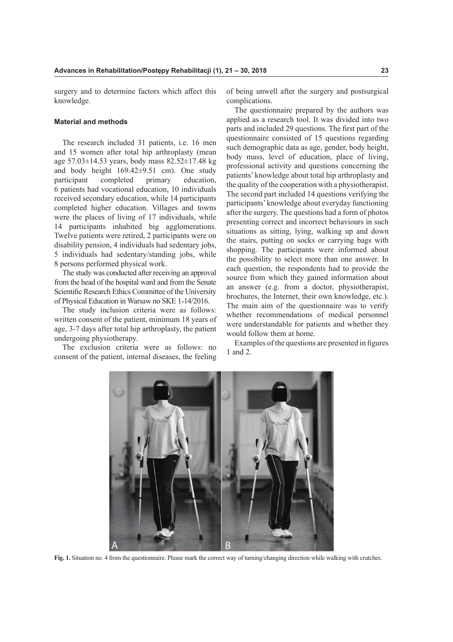surgery and to determine factors which affect this knowledge.

## **Material and methods**

The research included 31 patients, i.e. 16 men and 15 women after total hip arthroplasty (mean age 57.03±14.53 years, body mass 82.52±17.48 kg and body height 169.42±9.51 cm). One study participant completed primary education, 6 patients had vocational education, 10 individuals received secondary education, while 14 participants completed higher education. Villages and towns were the places of living of 17 individuals, while 14 participants inhabited big agglomerations. Twelve patients were retired, 2 participants were on disability pension, 4 individuals had sedentary jobs, 5 individuals had sedentary/standing jobs, while 8 persons performed physical work.

The study was conducted after receiving an approval from the head of the hospital ward and from the Senate Scientifc Research Ethics Committee of the University of Physical Education in Warsaw no SKE 1-14/2016.

The study inclusion criteria were as follows: written consent of the patient, minimum 18 years of age, 3-7 days after total hip arthroplasty, the patient undergoing physiotherapy.

The exclusion criteria were as follows: no consent of the patient, internal diseases, the feeling of being unwell after the surgery and postsurgical complications.

The questionnaire prepared by the authors was applied as a research tool. It was divided into two parts and included 29 questions. The frst part of the questionnaire consisted of 15 questions regarding such demographic data as age, gender, body height, body mass, level of education, place of living, professional activity and questions concerning the patients' knowledge about total hip arthroplasty and the quality of the cooperation with a physiotherapist. The second part included 14 questions verifying the participants' knowledge about everyday functioning after the surgery. The questions had a form of photos presenting correct and incorrect behaviours in such situations as sitting, lying, walking up and down the stairs, putting on socks or carrying bags with shopping. The participants were informed about the possibility to select more than one answer. In each question, the respondents had to provide the source from which they gained information about an answer (e.g. from a doctor, physiotherapist, brochures, the Internet, their own knowledge, etc.). The main aim of the questionnaire was to verify whether recommendations of medical personnel were understandable for patients and whether they would follow them at home.

Examples of the questions are presented in figures 1 and 2.



**Fig. 1.** Situation no. 4 from the questionnaire. Please mark the correct way of turning/changing direction while walking with crutches.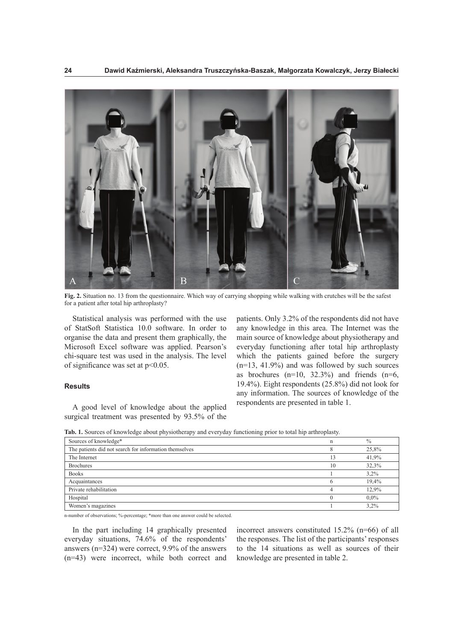

**Fig. 2.** Situation no. 13 from the questionnaire. Which way of carrying shopping while walking with crutches will be the safest for a patient after total hip arthroplasty?

Statistical analysis was performed with the use of StatSoft Statistica 10.0 software. In order to organise the data and present them graphically, the Microsoft Excel software was applied. Pearson's chi-square test was used in the analysis. The level of signifcance was set at p<0.05.

# **Results**

A good level of knowledge about the applied surgical treatment was presented by 93.5% of the

patients. Only 3.2% of the respondents did not have any knowledge in this area. The Internet was the main source of knowledge about physiotherapy and everyday functioning after total hip arthroplasty which the patients gained before the surgery (n=13, 41.9%) and was followed by such sources as brochures  $(n=10, 32.3%)$  and friends  $(n=6, 10.32.3%)$ 19.4%). Eight respondents (25.8%) did not look for any information. The sources of knowledge of the respondents are presented in table 1.

| Sources of knowledge*                                  | n  | $\frac{0}{0}$ |
|--------------------------------------------------------|----|---------------|
| The patients did not search for information themselves |    | 25,8%         |
| The Internet                                           | 13 | 41,9%         |
| <b>Brochures</b>                                       | 10 | 32,3%         |
| <b>Books</b>                                           |    | $3.2\%$       |
| Acquaintances                                          | 6  | 19.4%         |
| Private rehabilitation                                 |    | 12.9%         |
| Hospital                                               |    | $0.0\%$       |
| Women's magazines                                      |    | 3,2%          |

**Tab. 1.** Sources of knowledge about physiotherapy and everyday functioning prior to total hip arthroplasty.

n-number of observations; %-percentage; \*more than one answer could be selected.

In the part including 14 graphically presented everyday situations, 74.6% of the respondents' answers (n=324) were correct, 9.9% of the answers (n=43) were incorrect, while both correct and

incorrect answers constituted 15.2% (n=66) of all the responses. The list of the participants' responses to the 14 situations as well as sources of their knowledge are presented in table 2.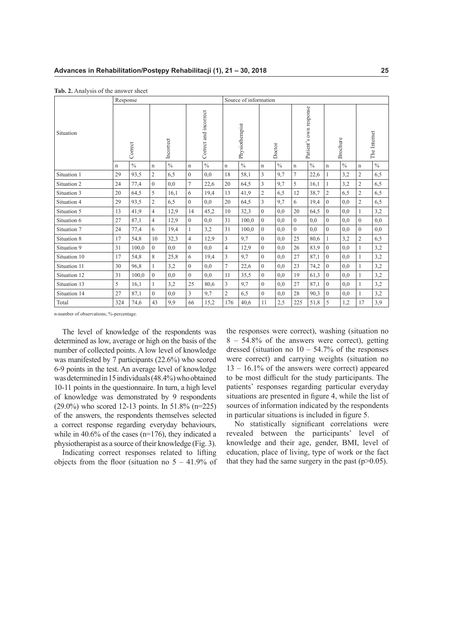|              | Response |               |                |               |                       |               |                 | Source of information |                |               |                        |               |                |               |                |               |
|--------------|----------|---------------|----------------|---------------|-----------------------|---------------|-----------------|-----------------------|----------------|---------------|------------------------|---------------|----------------|---------------|----------------|---------------|
| Situation    |          | Correct       | Incorrect      |               | Correct and incorrect |               | Physiotherapist |                       | Doctor         |               | Patient's own response |               | Brochure       |               | The Internet   |               |
|              | n        | $\frac{0}{0}$ | $\mathbf n$    | $\frac{0}{0}$ | $\mathbf n$           | $\frac{0}{0}$ | $\mathbf n$     | $\frac{0}{0}$         | $\mathbf n$    | $\frac{0}{0}$ | $\mathbf n$            | $\frac{0}{0}$ | $\mathbf n$    | $\frac{0}{0}$ | n              | $\frac{0}{0}$ |
| Situation 1  | 29       | 93,5          | $\overline{c}$ | 6,5           | $\mathbf{0}$          | 0,0           | 18              | 58,1                  | 3              | 9,7           | $\overline{7}$         | 22,6          |                | 3,2           | $\overline{c}$ | 6,5           |
| Situation 2  | 24       | 77,4          | $\overline{0}$ | 0,0           | $\overline{7}$        | 22,6          | 20              | 64,5                  | 3              | 9,7           | 5                      | 16,1          |                | 3,2           | $\overline{c}$ | 6,5           |
| Situation 3  | 20       | 64,5          | 5              | 16,1          | 6                     | 19,4          | 13              | 41,9                  | $\overline{2}$ | 6,5           | 12                     | 38,7          | $\overline{2}$ | 6,5           | $\overline{c}$ | 6,5           |
| Situation 4  | 29       | 93,5          | $\overline{2}$ | 6,5           | $\Omega$              | 0,0           | 20              | 64,5                  | 3              | 9,7           | 6                      | 19,4          | $\overline{0}$ | 0,0           | $\overline{c}$ | 6,5           |
| Situation 5  | 13       | 41,9          | $\overline{4}$ | 12,9          | 14                    | 45,2          | 10              | 32,3                  | $\theta$       | 0,0           | 20                     | 64,5          | $\theta$       | 0.0           | $\mathbf{1}$   | 3,2           |
| Situation 6  | 27       | 87,1          | $\overline{4}$ | 12,9          | $\overline{0}$        | 0,0           | 31              | 100,0                 | $\theta$       | 0,0           | $\mathbf{0}$           | 0,0           | $\Omega$       | 0,0           | $\overline{0}$ | 0,0           |
| Situation 7  | 24       | 77,4          | 6              | 19,4          | 1                     | 3,2           | 31              | 100,0                 | $\Omega$       | 0.0           | $\theta$               | 0,0           | $\Omega$       | 0.0           | $\theta$       | 0,0           |
| Situation 8  | 17       | 54,8          | 10             | 32,3          | $\overline{4}$        | 12,9          | 3               | 9,7                   | $\mathbf{0}$   | 0,0           | 25                     | 80,6          | 1              | 3,2           | $\overline{2}$ | 6,5           |
| Situation 9  | 31       | 100,0         | $\overline{0}$ | 0.0           | $\theta$              | 0.0           | $\overline{4}$  | 12.9                  | $\theta$       | 0.0           | 26                     | 83,9          | $\theta$       | 0.0           | $\mathbf{1}$   | 3,2           |
| Situation 10 | 17       | 54,8          | 8              | 25,8          | 6                     | 19,4          | 3               | 9,7                   | $\Omega$       | 0.0           | 27                     | 87,1          | $\Omega$       | 0.0           | 1              | 3,2           |
| Situation 11 | 30       | 96,8          | $\mathbf{1}$   | 3,2           | $\theta$              | 0,0           | $\overline{7}$  | 22,6                  | $\Omega$       | 0,0           | 23                     | 74,2          | $\Omega$       | 0,0           | $\mathbf{1}$   | 3,2           |
| Situation 12 | 31       | 100,0         | $\overline{0}$ | 0.0           | $\theta$              | 0.0           | 11              | 35,5                  | $\theta$       | 0.0           | 19                     | 61,3          | $\Omega$       | 0.0           | $\mathbf{1}$   | 3,2           |
| Situation 13 | 5        | 16,1          | $\mathbf{1}$   | 3,2           | 25                    | 80,6          | $\overline{3}$  | 9,7                   | $\Omega$       | 0,0           | 27                     | 87,1          | $\Omega$       | 0,0           | $\mathbf{1}$   | 3,2           |
| Situation 14 | 27       | 87,1          | $\theta$       | 0,0           | 3                     | 9,7           | $\overline{2}$  | 6,5                   | $\theta$       | 0,0           | 28                     | 90,3          | $\Omega$       | 0,0           | $\mathbf{1}$   | 3,2           |
| Total        | 324      | 74,6          | 43             | 9,9           | 66                    | 15,2          | 176             | 40.6                  | 11             | 2,5           | 225                    | 51,8          | 5              | 1,2           | 17             | 3,9           |

**Tab. 2.** Analysis of the answer sheet

n-number of observations; %-percentage.

The level of knowledge of the respondents was determined as low, average or high on the basis of the number of collected points. A low level of knowledge was manifested by 7 participants (22.6%) who scored 6-9 points in the test. An average level of knowledge was determined in 15 individuals (48.4%) who obtained 10-11 points in the questionnaire. In turn, a high level of knowledge was demonstrated by 9 respondents (29.0%) who scored 12-13 points. In 51.8% (n=225) of the answers, the respondents themselves selected a correct response regarding everyday behaviours, while in  $40.6\%$  of the cases (n=176), they indicated a physiotherapist as a source of their knowledge (Fig. 3).

Indicating correct responses related to lifting objects from the floor (situation no  $5 - 41.9\%$  of the responses were correct), washing (situation no 8 – 54.8% of the answers were correct), getting dressed (situation no  $10 - 54.7\%$  of the responses were correct) and carrying weights (situation no  $13 - 16.1\%$  of the answers were correct) appeared to be most difficult for the study participants. The patients' responses regarding particular everyday situations are presented in fgure 4, while the list of sources of information indicated by the respondents in particular situations is included in fgure 5.

No statistically signifcant correlations were revealed between the participants' level of knowledge and their age, gender, BMI, level of education, place of living, type of work or the fact that they had the same surgery in the past  $(p>0.05)$ .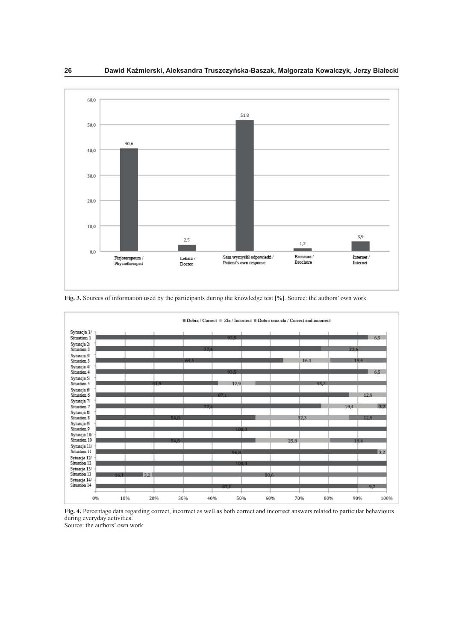

**Fig. 3.** Sources of information used by the participants during the knowledge test [%]. Source: the authors' own work

|                              |      |     |      |      |       |      | $\blacksquare$ Dobra / Correct $\blacksquare$ Zła / Incorrect $\blacksquare$ Dobra oraz zła / Correct and incorrect |            |      |
|------------------------------|------|-----|------|------|-------|------|---------------------------------------------------------------------------------------------------------------------|------------|------|
| Sytuacja 1/                  |      |     |      |      |       |      |                                                                                                                     |            |      |
| Situation 1                  |      |     |      |      | 93.5  |      |                                                                                                                     |            | 6,5  |
| Sytuacja 2/                  |      |     |      |      |       |      |                                                                                                                     |            |      |
| Situation 2                  |      |     |      | 774  |       |      |                                                                                                                     | 22.6       |      |
| Sytuacja 3/                  |      |     |      |      |       |      |                                                                                                                     |            |      |
| Situation 3                  |      |     | 64.5 |      |       |      | 16.1                                                                                                                | 19.4       |      |
| Sytuacja 4/                  |      |     |      |      |       |      |                                                                                                                     |            |      |
| Situation 4                  |      |     |      |      | 93.5  |      |                                                                                                                     |            | 6,5  |
| Sytuacja 5/                  |      |     |      |      |       |      |                                                                                                                     |            |      |
| Situation 5                  |      | 419 |      |      | 12,9  |      | 45.2                                                                                                                |            |      |
| Sytuacja 6/                  |      |     |      |      |       |      |                                                                                                                     |            |      |
| Situation 6                  |      |     |      | 87.1 |       |      |                                                                                                                     |            | 12,9 |
| Sytuacja 7/                  |      |     |      |      |       |      |                                                                                                                     |            |      |
| Situation 7                  |      |     |      | 774  |       |      |                                                                                                                     | 19.4       | 3.2  |
| Sytuacja 8/                  |      |     |      |      |       |      |                                                                                                                     |            |      |
| Situation 8                  |      |     | 54.8 |      |       |      | 32,3                                                                                                                |            | 12.9 |
| Sytuacja 9/                  |      |     |      |      |       |      |                                                                                                                     |            |      |
| Situation 9                  |      |     |      |      | 100.0 |      |                                                                                                                     |            |      |
| Sytuacja 10/<br>Situation 10 |      |     |      |      |       |      |                                                                                                                     |            |      |
|                              |      |     | 54.8 |      |       |      | 25.8                                                                                                                | 19.4       |      |
| Sytuacja 11/                 |      |     |      |      |       |      |                                                                                                                     |            |      |
| Situation 11                 |      |     |      |      | 96.8  |      |                                                                                                                     |            | 3,2  |
| Sytuacja 12/                 |      |     |      |      |       |      |                                                                                                                     |            |      |
| Situation 12                 |      |     |      |      | 100.0 |      |                                                                                                                     |            |      |
| Sytuacja 13/<br>Situation 13 |      |     |      |      |       |      |                                                                                                                     |            |      |
|                              | 16.1 | 3,2 |      |      |       | 80.6 |                                                                                                                     |            |      |
| Sytuacja 14/<br>Situation 14 |      |     |      |      |       |      |                                                                                                                     |            |      |
|                              |      |     |      |      | 87.1  |      |                                                                                                                     |            | 9.7  |
| 0%                           | 10%  | 20% | 30%  | 40%  | 50%   | 60%  | 70%                                                                                                                 | 80%<br>90% | 100% |



Source: the authors' own work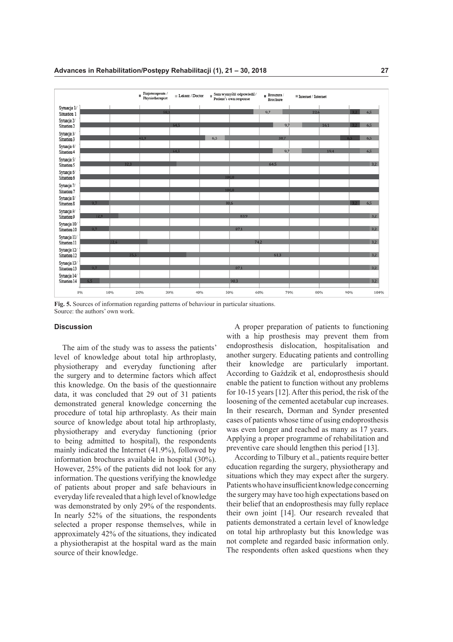

**Fig. 5.** Sources of information regarding patterns of behaviour in particular situations. Source: the authors' own work.

#### **Discussion**

The aim of the study was to assess the patients' level of knowledge about total hip arthroplasty, physiotherapy and everyday functioning after the surgery and to determine factors which afect this knowledge. On the basis of the questionnaire data, it was concluded that 29 out of 31 patients demonstrated general knowledge concerning the procedure of total hip arthroplasty. As their main source of knowledge about total hip arthroplasty, physiotherapy and everyday functioning (prior to being admitted to hospital), the respondents mainly indicated the Internet (41.9%), followed by information brochures available in hospital (30%). However, 25% of the patients did not look for any information. The questions verifying the knowledge of patients about proper and safe behaviours in everyday life revealed that a high level of knowledge was demonstrated by only 29% of the respondents. In nearly 52% of the situations, the respondents selected a proper response themselves, while in approximately 42% of the situations, they indicated a physiotherapist at the hospital ward as the main source of their knowledge.

A proper preparation of patients to functioning with a hip prosthesis may prevent them from endoprosthesis dislocation, hospitalisation and another surgery. Educating patients and controlling their knowledge are particularly important. According to Gaździk et al, endoprosthesis should enable the patient to function without any problems for 10-15 years [12]. After this period, the risk of the loosening of the cemented acetabular cup increases. In their research, Dorman and Synder presented cases of patients whose time of using endoprosthesis was even longer and reached as many as 17 years. Applying a proper programme of rehabilitation and preventive care should lengthen this period [13].

According to Tilbury et al., patients require better education regarding the surgery, physiotherapy and situations which they may expect after the surgery. Patients who have insufficient knowledge concerning the surgery may have too high expectations based on their belief that an endoprosthesis may fully replace their own joint [14]. Our research revealed that patients demonstrated a certain level of knowledge on total hip arthroplasty but this knowledge was not complete and regarded basic information only. The respondents often asked questions when they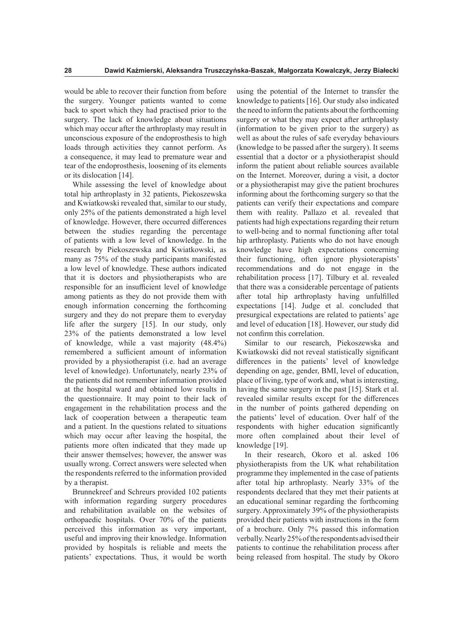would be able to recover their function from before the surgery. Younger patients wanted to come back to sport which they had practised prior to the surgery. The lack of knowledge about situations which may occur after the arthroplasty may result in unconscious exposure of the endoprosthesis to high loads through activities they cannot perform. As a consequence, it may lead to premature wear and tear of the endoprosthesis, loosening of its elements or its dislocation [14].

While assessing the level of knowledge about total hip arthroplasty in 32 patients, Piekoszewska and Kwiatkowski revealed that, similar to our study, only 25% of the patients demonstrated a high level of knowledge. However, there occurred diferences between the studies regarding the percentage of patients with a low level of knowledge. In the research by Piekoszewska and Kwiatkowski, as many as 75% of the study participants manifested a low level of knowledge. These authors indicated that it is doctors and physiotherapists who are responsible for an insufficient level of knowledge among patients as they do not provide them with enough information concerning the forthcoming surgery and they do not prepare them to everyday life after the surgery [15]. In our study, only 23% of the patients demonstrated a low level of knowledge, while a vast majority (48.4%) remembered a sufficient amount of information provided by a physiotherapist (i.e. had an average level of knowledge). Unfortunately, nearly 23% of the patients did not remember information provided at the hospital ward and obtained low results in the questionnaire. It may point to their lack of engagement in the rehabilitation process and the lack of cooperation between a therapeutic team and a patient. In the questions related to situations which may occur after leaving the hospital, the patients more often indicated that they made up their answer themselves; however, the answer was usually wrong. Correct answers were selected when the respondents referred to the information provided by a therapist.

Brunnekreef and Schreurs provided 102 patients with information regarding surgery procedures and rehabilitation available on the websites of orthopaedic hospitals. Over 70% of the patients perceived this information as very important, useful and improving their knowledge. Information provided by hospitals is reliable and meets the patients' expectations. Thus, it would be worth

using the potential of the Internet to transfer the knowledge to patients [16]. Our study also indicated the need to inform the patients about the forthcoming surgery or what they may expect after arthroplasty (information to be given prior to the surgery) as well as about the rules of safe everyday behaviours (knowledge to be passed after the surgery). It seems essential that a doctor or a physiotherapist should inform the patient about reliable sources available on the Internet. Moreover, during a visit, a doctor or a physiotherapist may give the patient brochures informing about the forthcoming surgery so that the patients can verify their expectations and compare them with reality. Pallazo et al. revealed that patients had high expectations regarding their return to well-being and to normal functioning after total hip arthroplasty. Patients who do not have enough knowledge have high expectations concerning their functioning, often ignore physioterapists' recommendations and do not engage in the rehabilitation process [17]. Tilbury et al. revealed that there was a considerable percentage of patients after total hip arthroplasty having unfulflled expectations [14]. Judge et al. concluded that presurgical expectations are related to patients' age and level of education [18]. However, our study did not confrm this correlation.

Similar to our research, Piekoszewska and Kwiatkowski did not reveal statistically signifcant diferences in the patients' level of knowledge depending on age, gender, BMI, level of education, place of living, type of work and, what is interesting, having the same surgery in the past [15]. Stark et al. revealed similar results except for the diferences in the number of points gathered depending on the patients' level of education. Over half of the respondents with higher education signifcantly more often complained about their level of knowledge [19].

In their research, Okoro et al. asked 106 physiotherapists from the UK what rehabilitation programme they implemented in the case of patients after total hip arthroplasty. Nearly 33% of the respondents declared that they met their patients at an educational seminar regarding the forthcoming surgery. Approximately 39% of the physiotherapists provided their patients with instructions in the form of a brochure. Only 7% passed this information verbally. Nearly 25% of the respondents advised their patients to continue the rehabilitation process after being released from hospital. The study by Okoro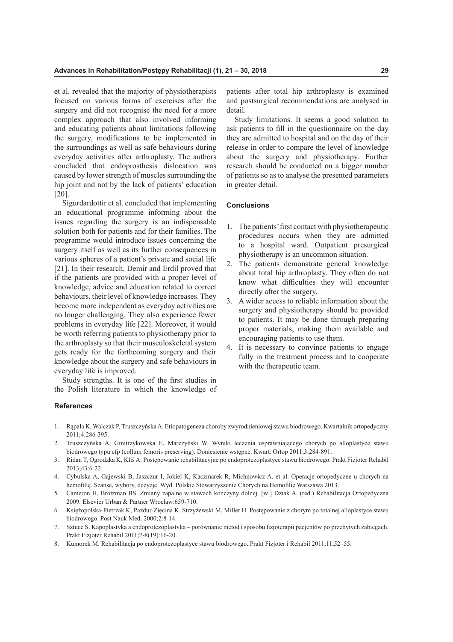et al. revealed that the majority of physiotherapists focused on various forms of exercises after the surgery and did not recognise the need for a more complex approach that also involved informing and educating patients about limitations following the surgery, modifcations to be implemented in the surroundings as well as safe behaviours during everyday activities after arthroplasty. The authors concluded that endoprosthesis dislocation was caused by lower strength of muscles surrounding the hip joint and not by the lack of patients' education [20].

Sigurdardottir et al. concluded that implementing an educational programme informing about the issues regarding the surgery is an indispensable solution both for patients and for their families. The programme would introduce issues concerning the surgery itself as well as its further consequences in various spheres of a patient's private and social life [21]. In their research, Demir and Erdil proved that if the patients are provided with a proper level of knowledge, advice and education related to correct behaviours, their level of knowledge increases. They become more independent as everyday activities are no longer challenging. They also experience fewer problems in everyday life [22]. Moreover, it would be worth referring patients to physiotherapy prior to the arthroplasty so that their musculoskeletal system gets ready for the forthcoming surgery and their knowledge about the surgery and safe behaviours in everyday life is improved.

Study strengths. It is one of the frst studies in the Polish literature in which the knowledge of patients after total hip arthroplasty is examined and postsurgical recommendations are analysed in detail.

Study limitations. It seems a good solution to ask patients to fll in the questionnaire on the day they are admitted to hospital and on the day of their release in order to compare the level of knowledge about the surgery and physiotherapy. Further research should be conducted on a bigger number of patients so as to analyse the presented parameters in greater detail.

# **Conclusions**

- 1. The patients' frst contact with physiotherapeutic procedures occurs when they are admitted to a hospital ward. Outpatient presurgical physiotherapy is an uncommon situation.
- 2. The patients demonstrate general knowledge about total hip arthroplasty. They often do not know what difficulties they will encounter directly after the surgery.
- 3. A wider access to reliable information about the surgery and physiotherapy should be provided to patients. It may be done through preparing proper materials, making them available and encouraging patients to use them.
- 4. It is necessary to convince patients to engage fully in the treatment process and to cooperate with the therapeutic team.

## **References**

- 1. Rąpała K, Walczak P, Truszczyńska A. Etiopatogeneza choroby zwyrodnieniowej stawu biodrowego. Kwartalnik ortopedyczny 2011;4:286-395.
- 2. Truszczyńska A, Gmitrzykowska E, Marczyński W. Wyniki leczenia usprawniającego chorych po alloplastyce stawu biodrowego typu cfp (collum femoris preserving). Doniesienie wstępne. Kwart. Ortop 2011;3:284-891.
- 3. Ridan T, Ogrodzka K, Kliś A. Postępowanie rehabilitacyjne po endoprotezoplastyce stawu biodrowego. Prakt Fizjoter Rehabil 2013;43:6-22.
- 4. Cybulska A, Gajewski B, Jaszczur I, Jokiel K, Kaczmarek R, Michnowicz A. et al. Operacje ortopedyczne u chorych na hemoflię. Szanse, wybory, decyzje. Wyd. Polskie Stowarzyszenie Chorych na Hemoflię Warszawa 2013.
- 5. Cameron H, Brotzman BS. Zmiany zapalne w stawach kończyny dolnej. [w:] Dziak A. (red.) Rehabilitacja Ortopedyczna 2009. Elsevier Urban & Partner Wrocław:659-710.
- 6. Księżopolska-Pietrzak K, Pazdur-Zięcina K, Strzyżewski M, Miller H. Postępowanie z chorym po totalnej alloplastyce stawu biodrowego. Post Nauk Med. 2000;2:8-14.
- 7. Sztuce S. Kapoplastyka a endoprotezoplastyka porównanie metod i sposobu fzjoterapii pacjentów po przebytych zabiegach. Prakt Fizjoter Rehabil 2011;7-8(19):16-20.
- 8. Kumorek M. Rehabilitacja po endoprotezoplastyce stawu biodrowego. Prakt Fizjoter i Rehabil 2011;11,52–55.